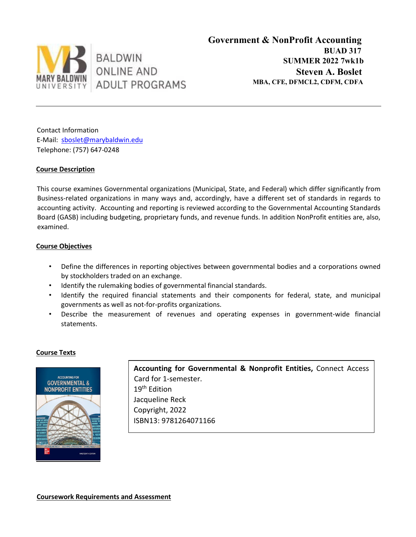

Contact Information E-Mail: sboslet@marybaldwin.edu Telephone: (757) 647-0248

# **Course Description**

This course examines Governmental organizations (Municipal, State, and Federal) which differ significantly from Business-related organizations in many ways and, accordingly, have a different set of standards in regards to accounting activity. Accounting and reporting is reviewed according to the Governmental Accounting Standards Board (GASB) including budgeting, proprietary funds, and revenue funds. In addition NonProfit entities are, also, examined.

## **Course Objectives**

- Define the differences in reporting objectives between governmental bodies and a corporations owned by stockholders traded on an exchange.
- Identify the rulemaking bodies of governmental financial standards.
- Identify the required financial statements and their components for federal, state, and municipal governments as well as not-for-profits organizations.
- Describe the measurement of revenues and operating expenses in government-wide financial statements.

## **Course Texts**



**Accounting for Governmental & Nonprofit Entities,** Connect Access Card for 1-semester. 19<sup>th</sup> Edition Jacqueline Reck Copyright, 2022 ISBN13: 9781264071166